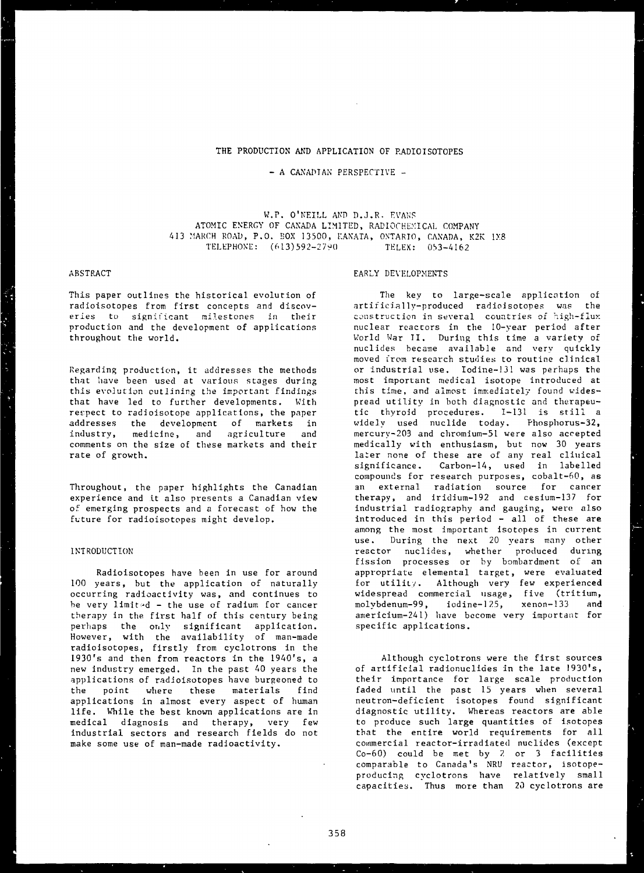# THE PRODUCTION AND APPLICATION OF RADIOISOTOPES

# - A CANADIAN PERSPECTIVE -

W.P. O'NEILL AND D.J.R. EVANS ATOMIC ENERGY OF CANADA LIMITED, RADIOCHEM1CAL COMPANY 413 MARCH ROAD, P.O. BOX 13500, KANATA, ONTARIO, CANADA, K2K 1X8 TELEPHONE: (613)592-2790 TELEX: 053-4162

# ABSTRACT

This paper outlines the historical evolution of radioisotopes from first concepts and discoveries to significant milestones in their production and the development of applications throughout the world.

Regarding production, it addresses the methods that have been used at various stages during this evolution outlining the important findings that have led to further developments. With respect to radioisotope applications, the paper addresses the development of markets in industry, medicine, and agriculture and comments on the size of these markets and their rate of growth.

Throughout, the paper highlights the Canadian experience and it also presents a Canadian view of emerging prospects and a forecast of how the future for radioisotopes might develop.

# INTRODUCTION

Radioisotopes have been in use for around 100 years, but the application of naturally occurring radioactivity was, and continues to be very limit ••d - the use of radium for cancer therapy in the. first half of this century being perhaps the only significant application. However, with the availability of man-made radioisotopes, firstly from cyclotrons in the 1930's and then from reactors in the 1940's, a new industry emerged. In the past 40 years the applications of radioisotopes have burgeoned to the point where these materials find applications in almost every aspect of human life. While the best known applications are in medical diagnosis and therapy, very few industrial sectors and research fields do not make some use of man-made radioactivity.

# EARLY DEVELOPMENTS

The key to large-scale application of artificially-produced radioisotopes was the construction in several countries of high-flux nuclear reactors in the 10-year period after World War II. During this time a variety of nuclides became available and very quickly moved from research studies to routine clinical or industrial use. Iodine-131 was perhaps the most important medical isotope introduced at this time, and almost immediately found widespread utility in both diagnostic and therapeutic thyroid procedures. 1-131 is still a widely used nuclide today. Phosphorus-32, mercury-203 and chromium-51 were also accepted medically with enthusiasm, but now 30 years later none of these are of any real climical significance. Carbon-14, used in labelled compounds for research purposes, cobalt-60, as an external radiation source for cancer therapy, and iridium-192 and cesium-137 for industrial radiography and gauging, were also introduced in this period - all of these are among the most important isotopes in current use. During the next 20 years many other reactor nuclides, whether produced during fission processes or by bombardment of an appropriate elemental target, were evaluated for utility. Although very few experienced widespread commercial usage, five (tritium, molybdenum-99, iodine-125, xenon-133 and americium-241) have become very important for specific applications.

Although cyclotrons were the first sources of artificial radionuclides in the late 1930's, their importance for large scale production faded until the past 15 years when several neutron-deficient isotopes found significant diagnostic utility. Whereas reactors are able to produce such large quantities of isotopes that the entire world requirements for all commercial reactor-irradiated nuclides (except Co-60) could be met by ?. or 3 facilities comparable to Canada's NRU reactor, isotopeproducing cyclotrons have relatively small capacities. Thus more than 20 cyclotrons are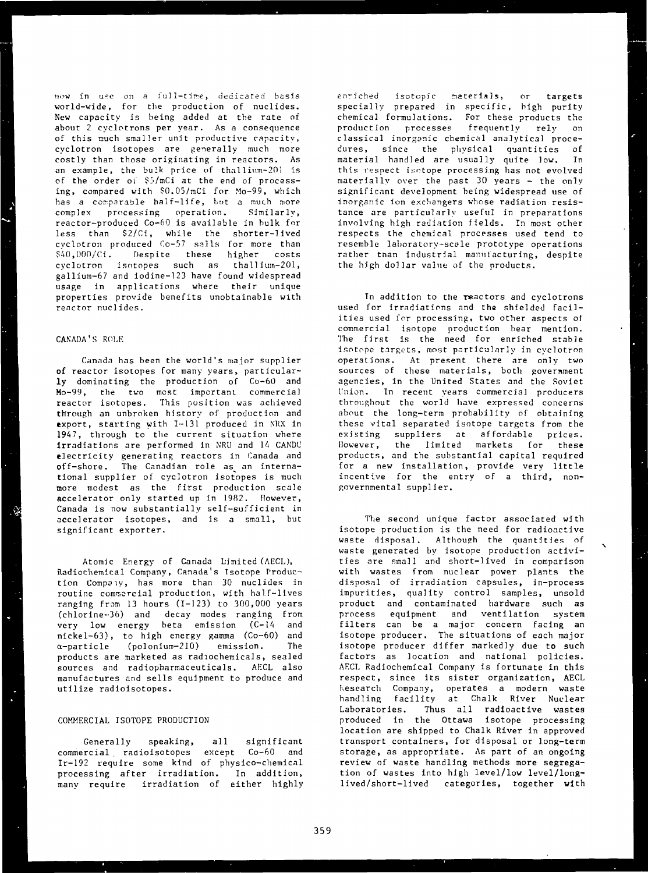now in use on a full-time, dedicated basis world-wide, for the production of nuclides. New capacity is being added at the rate of about 2 cyclotrons per year. As a consequence of this nuch smaller unit productive capacity, cyclotron isotopes are generally much more costly than those originating in reactors. As an example, the bulk price of thallium-201 is of the order oi \$5/mCi at the end of processing, compared with \$0.05/mCi for Mo-99, which has a comparable half-life, but a much more complex processing operation. Similarly, reactor-produced Co—60 is available in bulk for less than \$2/Ci, while the shorter-lived cyclotron produced Co-57 sails for more than \$40,000/Ci. Despite these higher costs cyclotron isotopes such as thallium-201, gallium-67 and iodine-123 have found widespread usage in applications where their unique properties provide benefits unobtainable with reactor nuclides.

## CANADA'S ROLE

Canada has been the world's major supplier of reactor isotopes for many years, particularly dominating the production of Co-60 and Mo-99, the two most important commercial reactor isotopes. This position was achieved through an unbroken history of production and export, starting with 1-131 produced in NRX in 1947, through to the current situation where irradiations are performed in NRU and 14 CANDU electricity generating reactors in Canada and off-shore. The Canadian role as an international supplier of cyclotron isotopes is much more modest as the first production scale accelerator only started up in 1982. However, Canada is now substantially self-sufficient in accelerator isotopes, and is a small, but significant exporter.

Atomic Energy of Canada Limited (AECL), Radiochemical Company, Canada's Isotope Production Compoiy, has more than 30 nuclides in routine commercial production, with half-lives ranging from 13 hours (1-123) to 300,000 years (chlorine-36) and decay modes ranging from very low energy beta emission (C-14 and nickel-63), to high energy gamma (Co-60) and  $\alpha$ -particle (polonium-210) emission. The products are marketed as radiochemicals, sealed sources and radiopharmaceuticals. AECL also manufactures and sells equipment to produce and utilize radioisotopes.

## COMMERCIAL ISOTOPE PRODUCTION

Generally speaking, all significant commercial . radioisotopes except Co-60 and Ir-192 require some kind of physico-chemical processing after irradiation. In addition, many require irradiation of either highly enriched isotopic materials, or targets specially prepared in specific, high purity chemical formulations. For these products the production processes frequently rely on classical inorganic chemical analytical procedures, since the physical quantities of material handled are usually quite low. In this respect isotope processing has not evolved materially over the past 30 years - the only significant development being widespread use of inorganic ion exchangers whose radiation resistance are particularly useful in preparations involving high radiation fields. In most other respects the chemical processes used tend to resemble laboratory-scale prototype operations rather than industrial manufacturing, despite the high dollar value of the products.

Tn addition to the reactors and cyclotrons used for irradiations and tha shielded facilities used for processing, two other aspects of commercial isotope production bear mention. The first is the need for enriched stable isotope targets, most particularly in cyclotron operations. At present there are only two sources of these materials, both government agencies, in the United States and the Soviet Union. In recent years commercial producers throughout the world have expressed concerns about the long-term probability of obtaining these vital separated isotope targets from the existing suppliers at affordable prices. However, the limited markets for these products, and the substantial capital required for a new installation, provide very little incentive for the entry of a third, nongovernmental supplier.

The second unique factor associated with isotope production is the need for radioactive waste disposal. Although the quantities of waste generated by isotope production activities are small and short-lived in comparison with wastes from nuclear power plants the disposal of irradiation capsules, in-process impurities, quality control samples, unsold product and contaminated hardware such as process equipment and ventilation system filters can be a major concern facing an isotope producer. The situations of each major isotope producer differ markedly due to such factors as location and national policies. AECL Radiochemical Company is fortunate in this respect, since its sister organization, AECL Research Company, operates a modern waste handling facility at Chalk River Nuclear Laboratories. Thus all radioactive wastes produced in the Ottawa isotope processing location are shipped to Chalk River in approved transport containers, for disposal or long-term storage, as appropriate. As part of an ongoing review of waste handling methods more segregation of wastes into high level/low level/longlived/short-lived categories, together with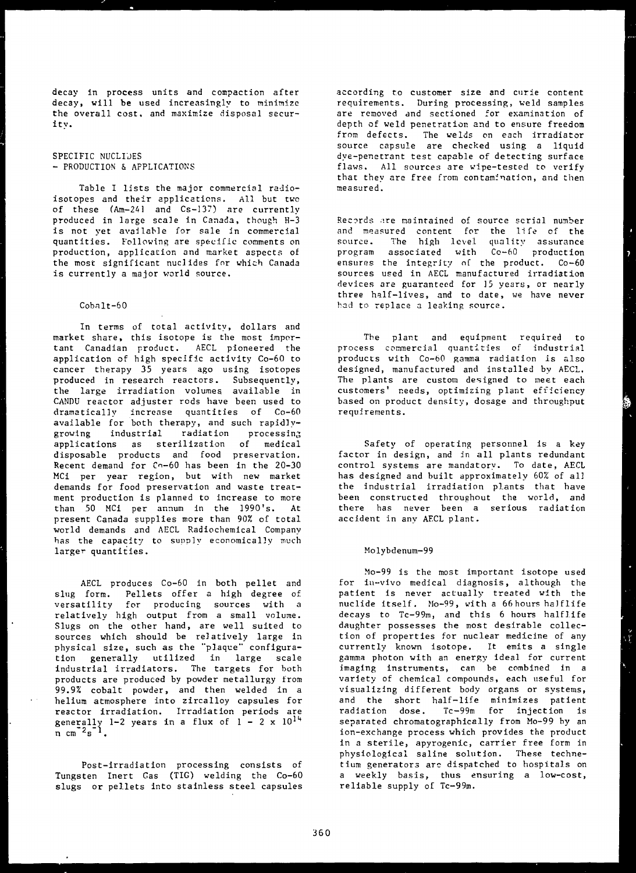decay in process units and compaction after decay, will be used increasingly to minimize the overall cost, and maximize disposal securitv.

SPECIFIC NUCLIDES - PRODUCTION & APPLICATIONS

Table I lists the major commercial radioisotopes and their applications. All but two of these (Am-241 and Cs-137) are currently produced in large scale in Canada, though H-3 is not yet available for sale in commercial quantities. Following are specific comments on production, application and market aspects of the most significant nuclides fnr which Canada is currently a major world source.

# Cobalt-60

In terms of total activity, dollars and market share, this isotope is the most important Canadian product. AECL pioneered the application of high specific activity Co-60 to cancer therapy 35 years ago using isotopes produced in research reactors. Subsequently, the large irradiation volumes available in CANDU reactor adjuster rods have been used to dramatically increase quantities of Co-60 available for both therapy, and such rapidlygrowing industrial radiation processing applications as sterilization of medical disposable products and food preservation. Recent demand for Co-60 has been in the 20-30 MCi per year region, but with new market demands for food preservation and waste treatment production is planned to increase to more than 50 MCi per annum in the 1990 's. At present Canada supplies more than 90% of total world demands and AECL Radiochemical Company has the capacity to supply economically much larger quantities.

AECL produces Co-60 in both pellet and slug form. Pellets offer a high degree of versatility for producing sources with a relatively high output from a small volume. Slugs on the other hand, are well suited to sources which should be relatively large in physical size, such as the "plaque" configuration generally utilized in large scale industrial irradiators. The targets for both products are produced by powder metallurgy from 99.9% cobalt powder, and then welded in a helium atmosphere into zircalloy capsules for reactor irradiation. Irradiation periods are generally  $1-2$  years in a flux of  $1-2 \times 10^{14}$  $n \cdot m$ <sup>-2s-1</sup>.

Post-irradiation processing consists of Tungsten Inert Gas (TIG) welding the Co-60 slugs or pellets into stainless steel capsules according to customer size and curie content requirements. During processing, weld samples are removed and sectioned for examination of depth of weld penetration and to ensure freedom fron defects. The welds on each irradiator source capsule are checked using a liquid dye-penetrant test capable of detecting surface flaws. All sources are wipe-tested to verify that they are free from contamination, and then measured.

Records are maintained of source serial number and measured content for the life of the source. The high level quality assurance program associated with Co-60 production ensures the integrity of the product. Co-60 sources used in AECL manufactured irradiation devices are guaranteed for 15 years, or nearly three half-lives, and to date, we have never had to replace a leaking source.

The plant and equipment required to process commercial quantities of industrial products with Co-60 gamma radiation is also designed, manufactured and installed by AECL. The plants are custom designed to meet each customers' needs, optimizing plant efficiency based on product density, dosage and throughput requirements.

Safety of operating personnel is a key factor in design, and in all plants redundant control systems are mandatory. To date, AECL has designed and built approximately 60% of all the industrial irradiation plants that have been constructed throughout the world, and there has never been a serious radiation accident in any AECL plant.

## Molybdenum-99

Mo-99 is the most important isotope used for in-vivo medical diagnosis, although the patient is never actually treated with the nuclide itself. Mo-99, with a 66 hours halflife decays to Tc-99m, and this 6 hours halflife daughter possesses the most desirable collection of properties for nuclear medicine of any currently known isotope. It emits a single gamma photon with an energy ideal for current imaging instruments, can be combined in a variety of chemical compounds, each useful for visualizing different body organs or systems, and the short half-life minimizes patient radiation dose. Tc-99m for injection is separated chromatographically from Mo-99 by an ion-exchange process which provides the product in a sterile, apyrogenic, carrier free form in physiological saline solution. These technetium generators arc dispatched to hospitals on a weekly basis, thus ensuring a low-cost, reliable supply of Tc-99m.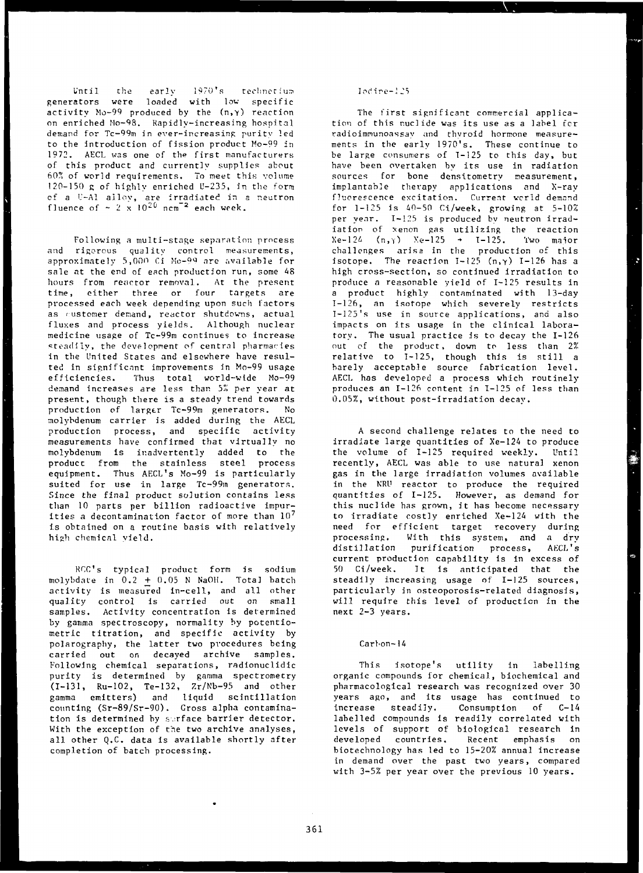Until the early  $1970$ 's technetium generators were loaded with low specific activity  $Mo-99$  produced by the  $(n, \gamma)$  reaction on enriched Mo-98. Rapidly-increasing hospital demand for Tc-99m in ever-increasing purity led to the introduction of fission product Mo-99 in 1972. AECL was one of the first manufacturers of this product and currently supplies about hOf' of world requirements. To meet this volume 120-150 g of highly enriched U-235, in the form of a U-Al alloy, are irradiated in a neutron fluence of  $\sim 2 \times 10^{20}$  ncm<sup>-2</sup> each week.

Following a multi-stage separation process and rigorous quality control measurements, approximately 5,000 Ci Mo-99 are available for sale at the end of each production run, some 48 hours from reactor removal. At the present time, either three or four targets are processed each week depending upon such factors as rustomer demand, reactor shutdowns, actual fluxes and process yields. Although nuclear medicine usage of Tc-99m continues to increase steadily, the development of central pharmacies in the United States and elsewhere have resulted in significant improvements in Mo-99 usage efficiencies. Thus total world-wide Mo-99 demand increases are less than 5% per year at present, though there is a steady trend towards production of larger Tc-99m generators. No molybdenum carrier is added during the AECL production process, and specific activity measurements have confirmed that virtually no molybdenum is inadvertently added to the product from the stainless steel process equipment. Thus AECL's Mo-99 is particularly suited for use in large Tc-99m generators. Since the final product solution contains less than 10 parts per billion radioactive impurities a decontamination factor of more than 10<sup>7</sup> is obtained on a routine basis with relatively high chemical yield.

RCC's typical product form is sodium molybdate in  $0.2 + 0.05$  N NaOH. Total batch activity is measured in-cell, and all other quality control is carried out on small samples. Activity concentration is determined by gamma spectroscopy, normality by potentiometric titration, and specific activity by polarography, the latter two procedures being carried out on decayed archive samples. Following chemical separations, radionuclidic purity is determined by gamma spectrometry (1-131, Ru-102, Te-132, Zr/Nb-95 and other gamma emitters) and liquid scintillation counting (Sr-89/Sr-90). Gross alpha contamination is determined by surface barrier detector. With the exception of the two archive analyses, all other Q.C. data is available shortly after completion of batch processing.

### Iodine-125

The first significant commercial application of this nuclide was its use as a label for radioimnunoassay and thyroid hormone measurements in the early 1970's. These continue to be large consumers of T-125 to this day, but have been overtaken by its use in radiation sources for bone densitometry measurement, implantable therapy applications and X-ray fluorescence excitation. Current world demand for 1-125 is 40-50 Ci/week, growing at 5-10% per yenr. 1—125 is produced by neutron irradiation of xenon gas utilizing the reaction  $Xe-124$  (n,  $YYe-125 \rightarrow I-125$ . Two major challenges arise in the production of this isotope. The reaction  $I-125$  (n,  $\gamma$ ) I-126 has a high cross-section, so continued irradiation to produce a reasonable yield of 1-125 results in a product highly contaminated with 13-day 1-126, an isotope which severely restricts I-125's use in source applications, and also impacts on its usage in the clinical laboratory. The usual practice is to decay the 1-126 out of the product, down to less than 2% relative to 1-125, though this is still a barely acceptable source fabrication level. AECL has developed a process which routinely produces an 1-126 content in 1-125 of less than 0.05%, without post-irradiation decay.

A second challenge relates to the need to irradiate large quantities of Xe-124 to produce the volume of 1-125 required weekly. Until recently, AECL was able to use natural xenon gas in the large irradiation volumes available in the KRU reactor to produce the required quantities of 1-125. However, as demand for this nuclide has grown, it has become necessary to irradiate costly enriched Xe-124 with the need for efficient target recovery during processing. With this system, and a dry distillation purification process, AECL's current production capability is in excess of 50 Ci/week. It is anticipated that the steadily increasing usage of 1-125 sources, particularly in osteoporosis-related diagnosis, will require this level of production in the next 2-3 years.

## Carbon-14

This isotope's utility in labelling organic compounds for chemical, biochemical and pharmacological research was recognized over 30 years ago, and its usage has continued to increase steadily. Consumption of C-14 labelled compounds is readily correlated with levels of support of biological research in developed countries. Recent emphasis on biotechnology has led to 15-20% annual increase in demand over the past two years, compared with 3-5% per year over the previous 10 years.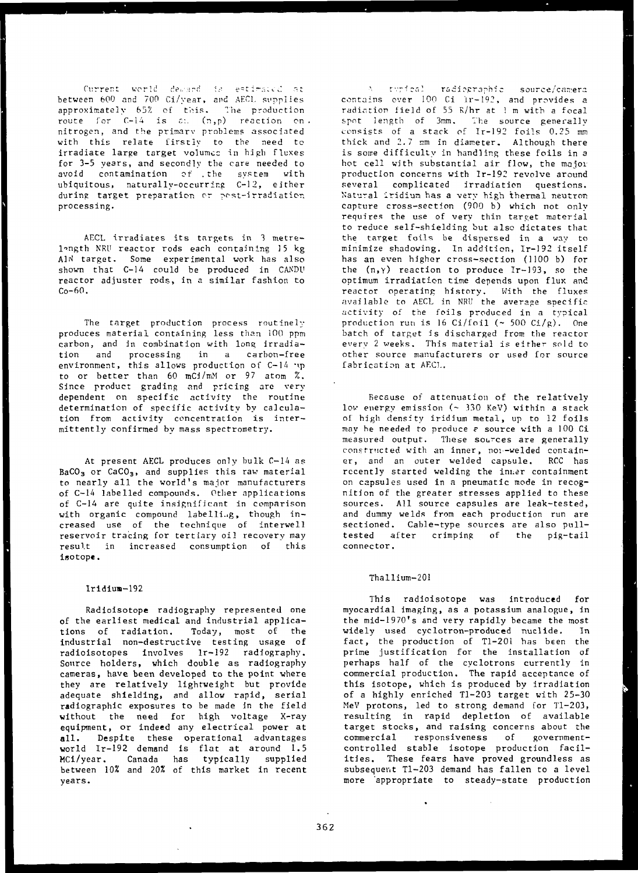Current world deward is estimated at between 600 and 700 Ci/year, and AEC1. supplies approximately 65% of this. The production route for C-14 is am (n,p) reaction on nitrogen, and the primarv problems associated with this relate firstly to the need to irradiate large target volumes in high fluxes for 3-5 years, and secondly the care needed to avoid contamination of . the system with ubiquitous, naturally-occurring C-12, either during target preparation or post-irradiation processing.

AECL irradiates its targets in 3 metre-1-ngth NRU reactor rods each containing 15 kg A1N target. Some experimental work has also shown that C-14 could be produced in CANDU reactor adjuster rods, in a similar fashion to  $C_0 - 60.$ 

The target production process routinely produces material containing less than 100 ppm carbon, and in combination with long irradiation and processing in a carbon-free environment, this allows production of C-14 .p to or better than 60 mCi/mM or 97 atom %. Since product grading and pricing are very dependent on specific activity the routine determination of specific activity by calculation from activity concentration is intermittently confirmed by mass spectrometry.

At present AECL produces only bulk C-14 as BaCO<sub>3</sub> or CaCO<sub>3</sub>, and supplies this raw material to nearly all the world's major manufacturers of C-14 labelled compounds. Other applications of C-14 are quite insignificant in comparison with organic compound labelling, though increased use of the technique of interwell reservoir tracing for tertiary oil recovery may result in increased consumption of this Isotop«.

### lridiuH-192

Radioisotope radiography represented one of the earliest medical and industrial applications of radiation. Today, most of the Industrial non-destructive testing usage of radioisotopes involves lr-192 radiography. Source holders, which double as radiography cameras, have been developed to the point where they are relatively lightweight but provide adequate shielding, and allow rapid, serial radiographic exposures to be made In the field without the need for high voltage X-ray equipment, or indeed any electrical power at all. Despite these operational advantages world Ir-192 demand is flat at around 1.5 MCI/year. Canada has typically supplied between 10% and 20% of this market in recent years.

A tupical radiographic source/camera contains over 100 Ci lr-192, and provides a radiation field of 55 K/hr at 1 m with a focal spot length of 3mm. The source generally consists of a stack of Ir-192 foils 0.25 mm thick and 2.7 mm in diameter. Although there is some difficulty in handling these foils in a hot cell with substantial air flow, the maiov production concerns with Tr-192 revolve around several complicated irradiation questions. Natural iridium has a very high thermal neutron capture cross-section (900 b) which not only requires the use of very thin target material to reduce self-shielding but also dictates that the target foils be dispersed in a way to minimize shadowing. In addition, Ir-192 itself has an even higher cross-section (1100 b) for the (n,Y) reaction to produce Ir-193, so the optimum irradiation time depends upon flux and reactor operating history. With the fluxes available to AECL in NRU the average specific activity of the foils produced in a typical production run is 16 Ci/foil  $({\sim 500 \text{ CI/g}})$ . One batch of target is discharged from the reactor every 2 weeks. This material is either sold to other source manufacturers or used for source fabrication at AECL.

Because of attenuation of the relatively low energy emission (~ 330 KeV) within a stack of high density iridium metal, up to 12 foils may he needed to produce e source with a 100 Ci measured output. These sources are generally constructed with an inner, noi-welded container, and an outer welded capsule. RCC has recently started welding the ini.er containment on capsules used in a pneumatic mode in recognition of the greater stresses applied to these sources. All source capsules are leak-tested, and dummy welds from each production run are sectioned. Cable-type sources are also pulltested after crimping of the pig-tail connector.

### Thallium-201

This radioisotope was introduced for myocardial imaging, as a potassium analogue, in the mid-1970's and very rapidly became the most widely used cyclotron-produced nuclide. In fact, the production of Tl-201 has been the prime justification for the Installation of perhaps half of the cyclotrons currently in commercial production. The rapid acceptance of this isotope, which is produced by irradiation of a highly enriched Tl-203 target with 25-30 MeV protons, led to strong demand for Tl-203, resulting in rapid depletion of available target stocks, and raising concerns about the commercial responsiveness of governmentcontrolled stable isotope production facilities. These fears have proved groundless as subsequent Tl-203 demand has fallen to a level more appropriate to steady-state production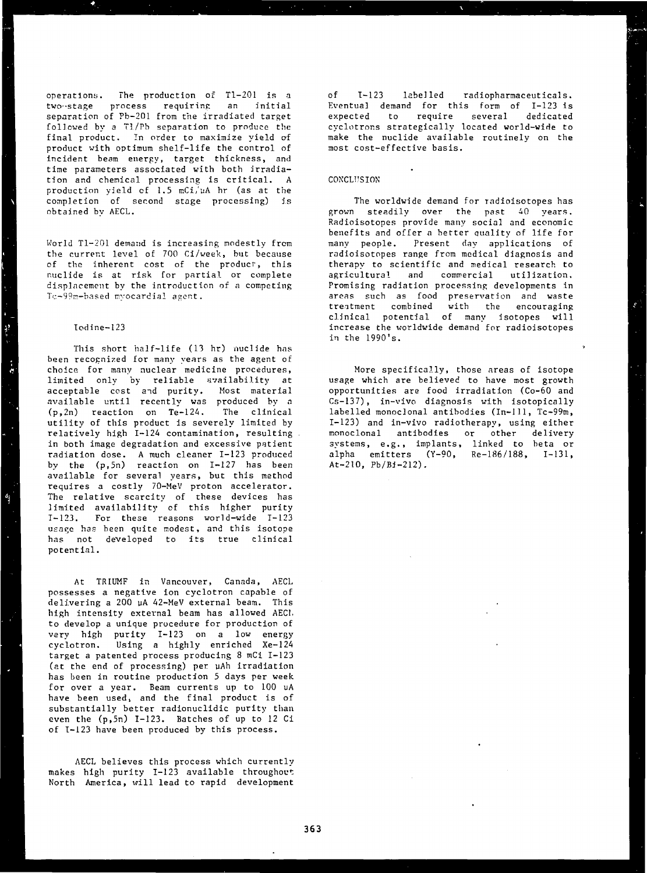operations. The production of Tl-201 is a two--stage process requiring an initial separation of Pb-201 from the irradiated target followed by a Tl/Pb separation to produce the final product. In order to maximize yield of product with optimum shelf-life the control of incident beam energy, target thickness, and time parameters associated with both irradiation and chemical processing is critical. A production yield of 1.5 mCi/uA hr (as at the completion of second stage processing) is obtained bv AECL.

World Tl-201 demand is increasing modestly from the current level of 700 Ci/week, but because of the inherent cost of the product, this nuclide is at risk for partial or complete displacement by the introduction of a competing Tc-99n-based nyocardial agent.

## Iodine-123

 $\mathbf{a}$ 

 $\frac{4}{3}$ 

This short half-life (13 hr) nuclide has been recognized for many years as the agent of choice for many nuclear medicine procedures, limited only by reliable availability at acceptable cost and purity. Most material available until recently was produced by a (p,2n) reaction on Te-124. The clinical utility of this product is severely limited by relatively high 1-124 contamination, resulting in both image degradation and excessive patient radiation dose. A much cleaner 1-123 produced by the (p,5n) reaction on 1-127 has been available for several years, but this method requires a costly 70-MeV proton accelerator. The relative scarcity of these devices has limited availability of this higher purity  $T_{\pi}$ 123. For these reasons world-wide  $T_{\pi}$ 123 usage has been quite modest, and this isotope has not developed to its true clinical potential.

At TRIUMF in Vancouver, Canada, AECL possesses a negative ion cyclotron capable of delivering a 200 uA 42-MeV external beam. This high intensity external beam has allowed AEC1. to develop a unique procedure for production of vary high purity 1-123 on a low energy cyclotron. Using a highly enriched Xe-124 target a patented process producing 8 mCi 1-123 (at the end of processing) per uAh irradiation has been in routine production 5 days per week for over a year. Beam currents up to 100 uA have been used, and the final product is of substantially better radionuclidic purity than even the (p,5n) 1-123. Batches of up to 12 Ci of 1-123 have been produced by this process.

AECL believes this process which currently makes high purity  $I-123$  available throughout North America, will lead to rapid development

of 1-123 labelled radiopharmaceuticals. Eventual demand for this form of 1-123 is expected to require several dedicated cyclotrons strategically located world-wide to make the nuclide available routinely on the most cost-effective basis.

#### **CONCLUSION**

The worldwide demand for radioisotopes has grown steadily over the past 40 years. Radioisotopes provide many social and economic benefits and offer a better quality of life for many people. Present day applications of radioisotopes range from medical diagnosis and therapy to scientific and medical research to agricultural and commercial utilization. Promising radiation processing developments in areas such as food preservation and waste treatment combined with the encouraging clinical potential of many isotopes will increase the worldwide demand for radioisotopes in the 1990's.

More specifically, those areas of isotope usage which are believed to have most growth opportunities are food irradiation (Co-60 and Cs-137), in-vivo diagnosis with isotopically labelled monoclonal antibodies (In-Ill, Tc-99m, 1-123) and in-vivo radiotherapy, using either monoclonal antibodies or other delivery systems, e.g., implants, linked to beta or alpha emitters (Y-90, Re-186/188, 1-131, At-210,  $Pb/B1-212$ ).